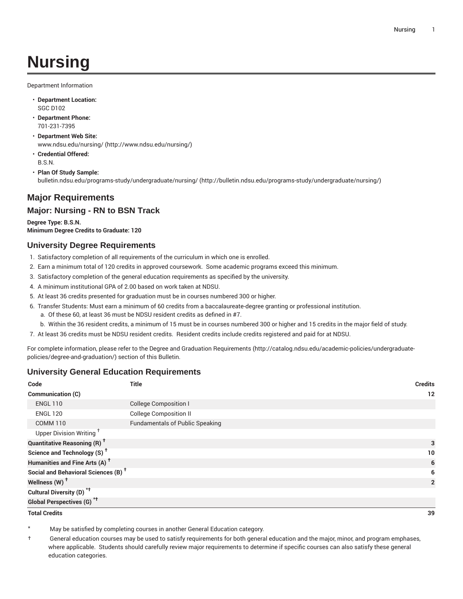# **Nursing**

Department Information

- **Department Location:** SGC D102
- **Department Phone:** 701-231-7395
- **Department Web Site:** [www.ndsu.edu/nursing/ \(http://www.ndsu.edu/nursing/](http://www.ndsu.edu/nursing/))
- **Credential Offered:** B.S.N.
- **Plan Of Study Sample:** [bulletin.ndsu.edu/programs-study/undergraduate/nursing/](http://bulletin.ndsu.edu/programs-study/undergraduate/nursing/) ([http://bulletin.ndsu.edu/programs-study/undergraduate/nursing/\)](http://bulletin.ndsu.edu/programs-study/undergraduate/nursing/)

## **Major Requirements**

#### **Major: Nursing - RN to BSN Track**

**Degree Type: B.S.N. Minimum Degree Credits to Graduate: 120**

#### **University Degree Requirements**

- 1. Satisfactory completion of all requirements of the curriculum in which one is enrolled.
- 2. Earn a minimum total of 120 credits in approved coursework. Some academic programs exceed this minimum.
- 3. Satisfactory completion of the general education requirements as specified by the university.
- 4. A minimum institutional GPA of 2.00 based on work taken at NDSU.
- 5. At least 36 credits presented for graduation must be in courses numbered 300 or higher.
- 6. Transfer Students: Must earn a minimum of 60 credits from a baccalaureate-degree granting or professional institution.
	- a. Of these 60, at least 36 must be NDSU resident credits as defined in #7.
	- b. Within the 36 resident credits, a minimum of 15 must be in courses numbered 300 or higher and 15 credits in the major field of study.

7. At least 36 credits must be NDSU resident credits. Resident credits include credits registered and paid for at NDSU.

For complete information, please refer to the Degree and Graduation [Requirements](http://catalog.ndsu.edu/academic-policies/undergraduate-policies/degree-and-graduation/) ([http://catalog.ndsu.edu/academic-policies/undergraduate](http://catalog.ndsu.edu/academic-policies/undergraduate-policies/degree-and-graduation/)[policies/degree-and-graduation/\)](http://catalog.ndsu.edu/academic-policies/undergraduate-policies/degree-and-graduation/) section of this Bulletin.

### **University General Education Requirements**

| Code                                            | <b>Title</b>                           | <b>Credits</b> |
|-------------------------------------------------|----------------------------------------|----------------|
| Communication (C)                               |                                        | 12             |
| <b>ENGL 110</b>                                 | <b>College Composition I</b>           |                |
| <b>ENGL 120</b>                                 | <b>College Composition II</b>          |                |
| <b>COMM 110</b>                                 | <b>Fundamentals of Public Speaking</b> |                |
| Upper Division Writing <sup>+</sup>             |                                        |                |
| <b>Quantitative Reasoning (R)</b> <sup>†</sup>  |                                        | 3              |
| Science and Technology (S) <sup>t</sup>         |                                        | 10             |
| Humanities and Fine Arts (A) <sup>+</sup>       |                                        | 6              |
| Social and Behavioral Sciences (B) <sup>+</sup> |                                        | 6              |
| Wellness (W) <sup>t</sup>                       |                                        | $\overline{2}$ |
| Cultural Diversity (D) <sup>*†</sup>            |                                        |                |
| <b>Global Perspectives (G)<sup>*†</sup></b>     |                                        |                |

**Total Credits 39**

May be satisfied by completing courses in another General Education category.

† General education courses may be used to satisfy requirements for both general education and the major, minor, and program emphases, where applicable. Students should carefully review major requirements to determine if specific courses can also satisfy these general education categories.